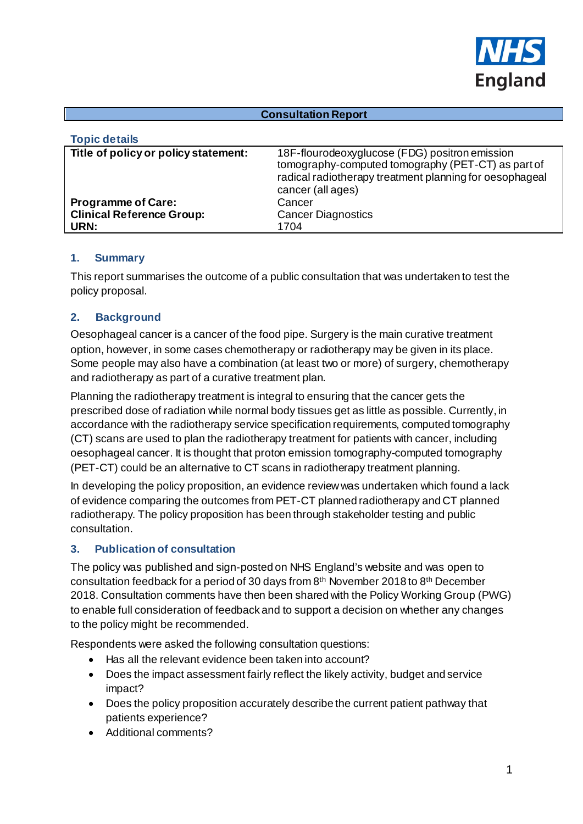

#### **Consultation Report**

| <b>Topic details</b>                     |                                                                                                                                                                                      |
|------------------------------------------|--------------------------------------------------------------------------------------------------------------------------------------------------------------------------------------|
| Title of policy or policy statement:     | 18F-flourodeoxyglucose (FDG) positron emission<br>tomography-computed tomography (PET-CT) as part of<br>radical radiotherapy treatment planning for oesophageal<br>cancer (all ages) |
| <b>Programme of Care:</b>                | Cancer                                                                                                                                                                               |
| <b>Clinical Reference Group:</b><br>URN: | <b>Cancer Diagnostics</b><br>1704                                                                                                                                                    |

### **1. Summary**

This report summarises the outcome of a public consultation that was undertaken to test the policy proposal.

### **2. Background**

Oesophageal cancer is a cancer of the food pipe. Surgery is the main curative treatment option, however, in some cases chemotherapy or radiotherapy may be given in its place. Some people may also have a combination (at least two or more) of surgery, chemotherapy and radiotherapy as part of a curative treatment plan.

Planning the radiotherapy treatment is integral to ensuring that the cancer gets the prescribed dose of radiation while normal body tissues get as little as possible. Currently, in accordance with the radiotherapy service specification requirements, computed tomography (CT) scans are used to plan the radiotherapy treatment for patients with cancer, including oesophageal cancer. It is thought that proton emission tomography-computed tomography (PET-CT) could be an alternative to CT scans in radiotherapy treatment planning.

In developing the policy proposition, an evidence review was undertaken which found a lack of evidence comparing the outcomes from PET-CT planned radiotherapy and CT planned radiotherapy. The policy proposition has been through stakeholder testing and public consultation.

### **3. Publication of consultation**

The policy was published and sign-posted on NHS England's website and was open to consultation feedback for a period of 30 days from 8th November 2018 to 8th December 2018. Consultation comments have then been shared with the Policy Working Group (PWG) to enable full consideration of feedback and to support a decision on whether any changes to the policy might be recommended.

Respondents were asked the following consultation questions:

- Has all the relevant evidence been taken into account?
- Does the impact assessment fairly reflect the likely activity, budget and service impact?
- Does the policy proposition accurately describe the current patient pathway that patients experience?
- Additional comments?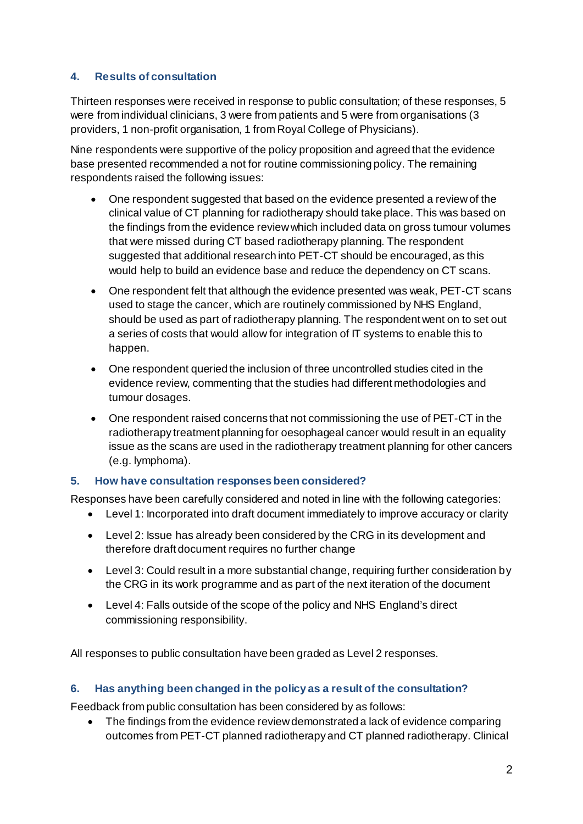# **4. Results of consultation**

Thirteen responses were received in response to public consultation; of these responses, 5 were from individual clinicians, 3 were from patients and 5 were from organisations (3 providers, 1 non-profit organisation, 1 from Royal College of Physicians).

Nine respondents were supportive of the policy proposition and agreed that the evidence base presented recommended a not for routine commissioning policy. The remaining respondents raised the following issues:

- One respondent suggested that based on the evidence presented a review of the clinical value of CT planning for radiotherapy should take place. This was based on the findings from the evidence reviewwhich included data on gross tumour volumes that were missed during CT based radiotherapy planning. The respondent suggested that additional research into PET-CT should be encouraged, as this would help to build an evidence base and reduce the dependency on CT scans.
- One respondent felt that although the evidence presented was weak, PET-CT scans used to stage the cancer, which are routinely commissioned by NHS England, should be used as part of radiotherapy planning. The respondent went on to set out a series of costs that would allow for integration of IT systems to enable this to happen.
- One respondent queried the inclusion of three uncontrolled studies cited in the evidence review, commenting that the studies had different methodologies and tumour dosages.
- One respondent raised concerns that not commissioning the use of PET-CT in the radiotherapy treatment planning for oesophageal cancer would result in an equality issue as the scans are used in the radiotherapy treatment planning for other cancers (e.g. lymphoma).

# **5. How have consultation responses been considered?**

Responses have been carefully considered and noted in line with the following categories:

- Level 1: Incorporated into draft document immediately to improve accuracy or clarity
- Level 2: Issue has already been considered by the CRG in its development and therefore draft document requires no further change
- Level 3: Could result in a more substantial change, requiring further consideration by the CRG in its work programme and as part of the next iteration of the document
- Level 4: Falls outside of the scope of the policy and NHS England's direct commissioning responsibility.

All responses to public consultation have been graded as Level 2 responses.

## **6. Has anything been changed in the policy as a result of the consultation?**

Feedback from public consultation has been considered by as follows:

• The findings from the evidence review demonstrated a lack of evidence comparing outcomes from PET-CT planned radiotherapy and CT planned radiotherapy. Clinical